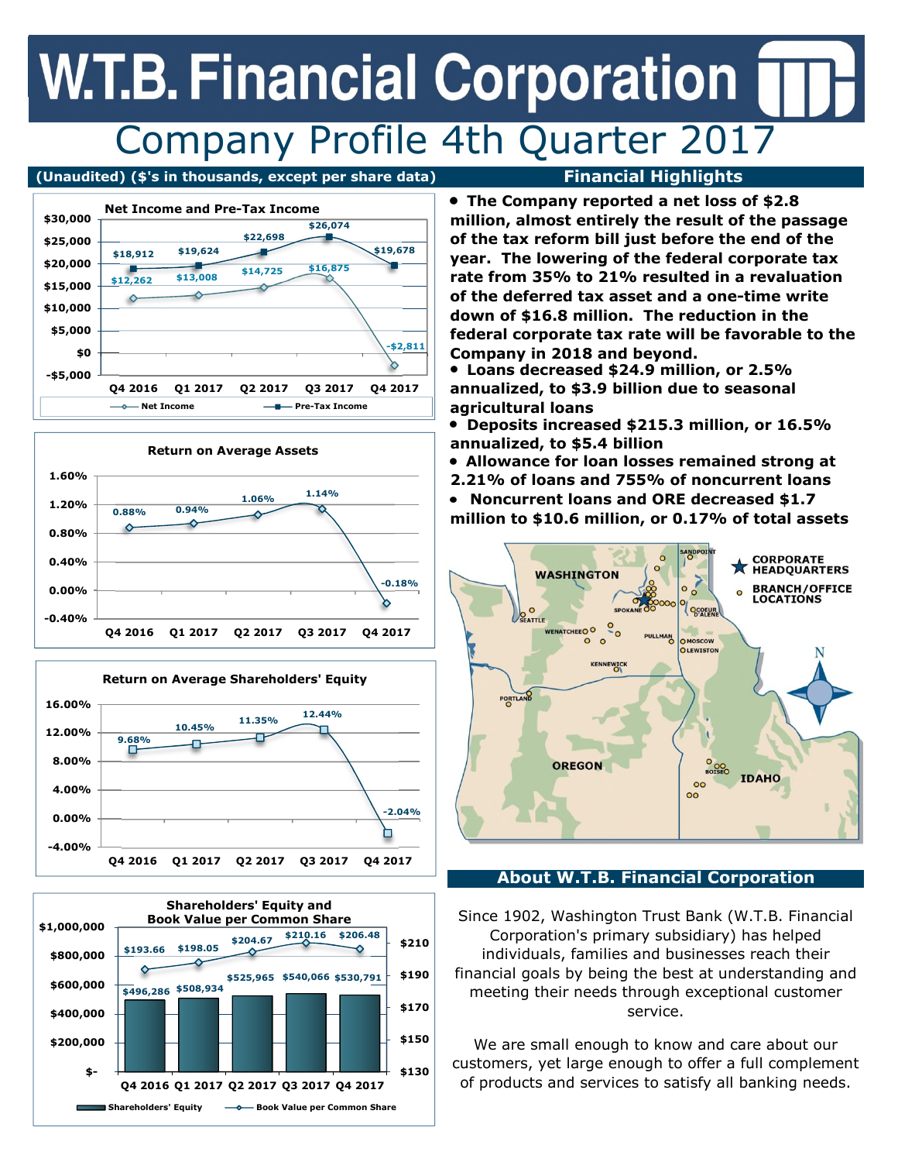## **W.T.B. Financial Corporation** Company Profile 4th Quarter 2017

**(Unaudited) (\$'s in thousands, except per share data) Financial Highlights** 









**The Company reported a net loss of \$2.8 million, almost entirely the result of the passage of the tax reform bill just before the end of the year. The lowering of the federal corporate tax rate from 35% to 21% resulted in a revaluation of the deferred tax asset and a one-time write down of \$16.8 million. The reduction in the federal corporate tax rate will be favorable to the Company in 2018 and beyond.**

**Loans decreased \$24.9 million, or 2.5% annualized, to \$3.9 billion due to seasonal agricultural loans** 

**Deposits increased \$215.3 million, or 16.5% annualized, to \$5.4 billion** 

**Allowance for loan losses remained strong at** 

**2.21% of loans and 755% of noncurrent loans** 

**Noncurrent loans and ORE decreased \$1.7 million to \$10.6 million, or 0.17% of total assets** 



### **About W.T.B. Financial Corporation**

Since 1902, Washington Trust Bank (W.T.B. Financial Corporation's primary subsidiary) has helped individuals, families and businesses reach their financial goals by being the best at understanding and meeting their needs through exceptional customer service.

We are small enough to know and care about our customers, yet large enough to offer a full complement of products and services to satisfy all banking needs.